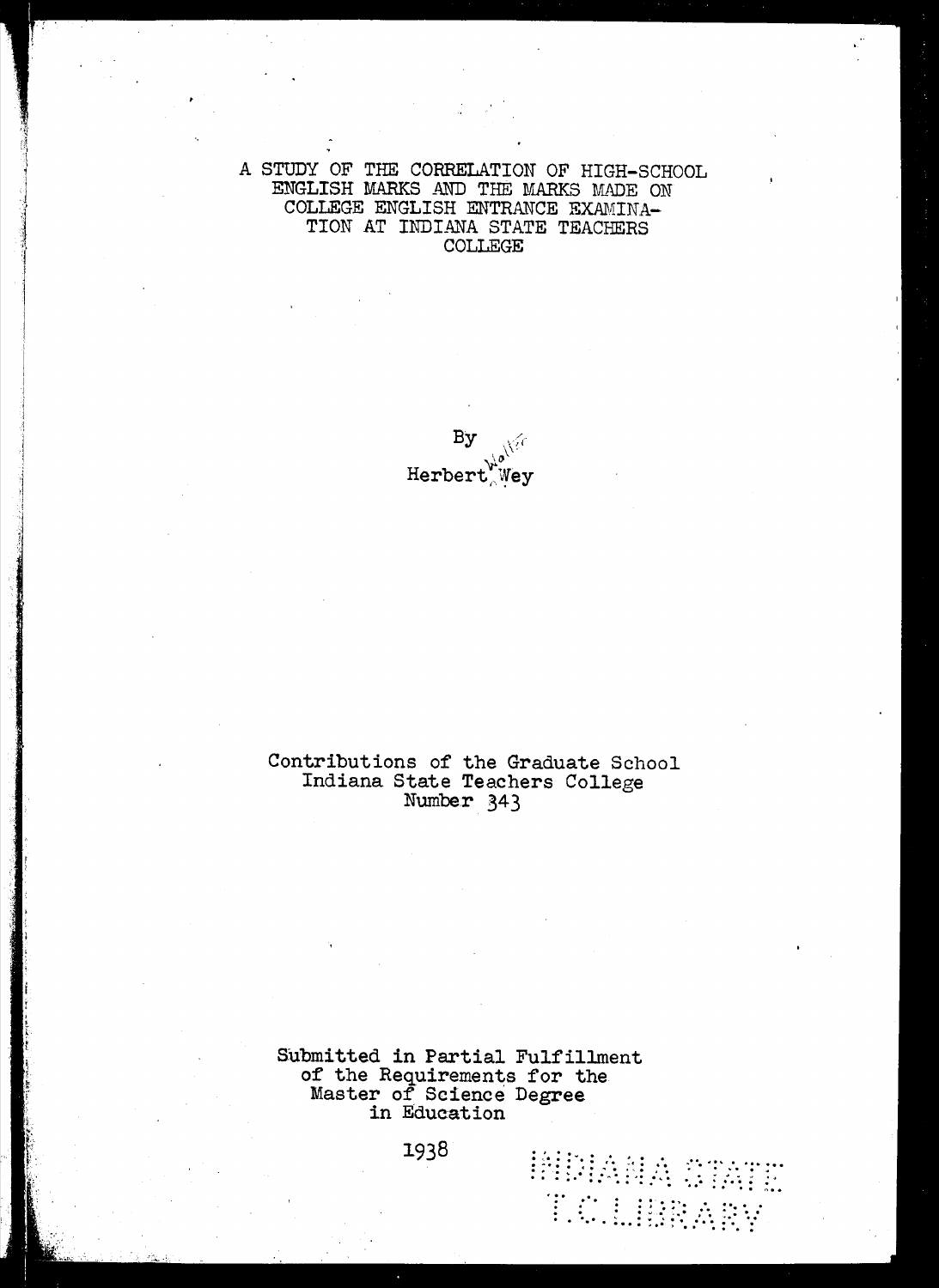A STUDY OF THE CORRELATION OF HIGH-SCHOOL ENGLISH MARKS AND THE MARKS MADE ON COLLEGE ENGLISH ENTRANCE EXAMINA-TION AT INDIANA STATE TEACHERS **COLLEGE** 

> By Herbert Wey

## Contributions of the Graduate School<br>Indiana State Teachers College Number 343

Submitted in Partial Fulfillment of the Requirements for the Master of Science Degree in Education

**HUIANA CTATE** 

T.C.LIBRARY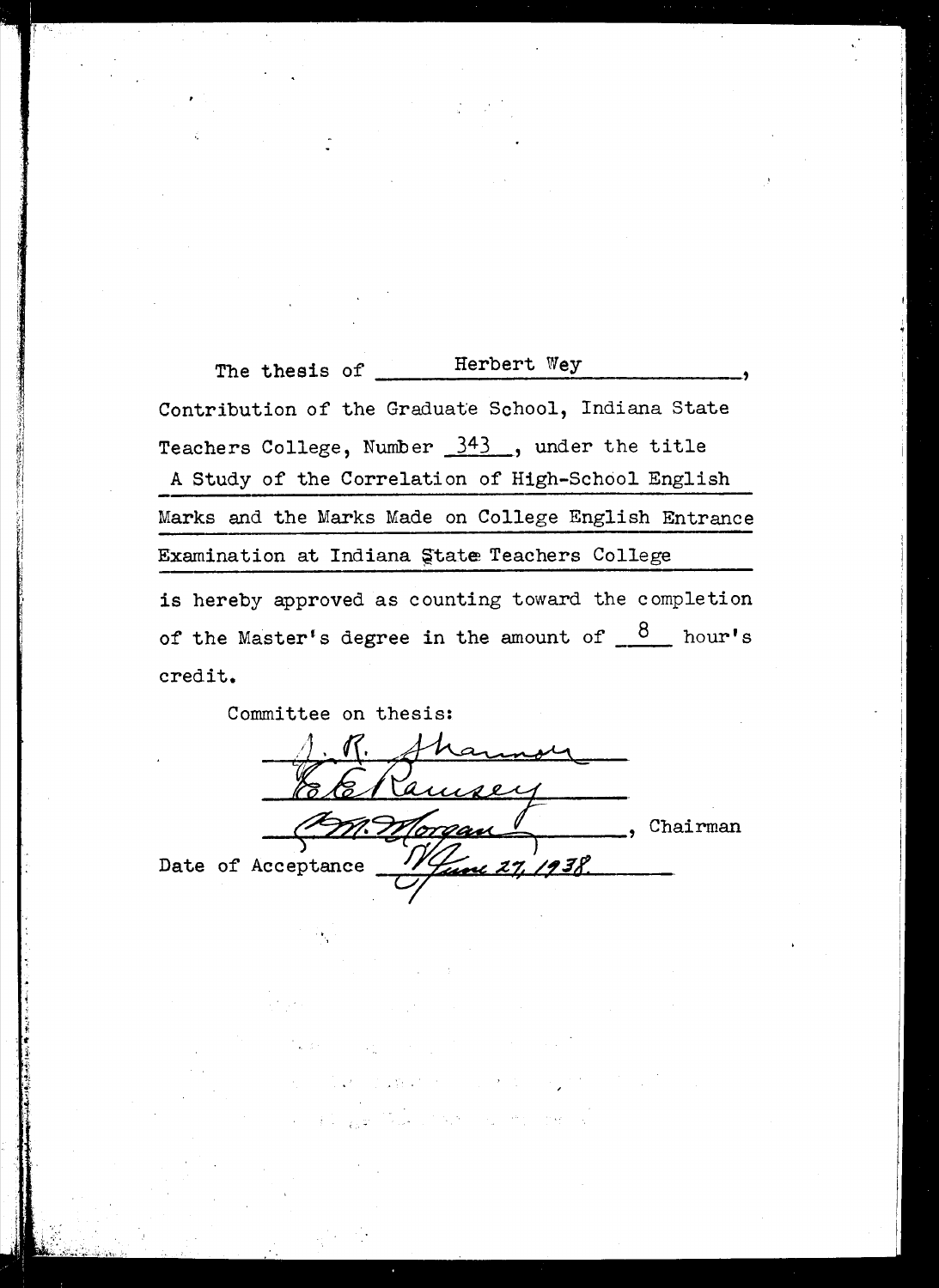Herbert Wey The thesis of \_\_\_\_\_ Contribution of the Graduate School, Indiana State Teachers College, Number 343, under the title A Study of the Correlation of High-School English Marks and the Marks Made on College English Entrance Examination at Indiana State Teachers College is hereby approved as counting toward the completion of the Master's degree in the amount of  $8$  hour's credit.

Committee on thesis: R. Shannon amsey Chairman Morgan inc 27, 1938. Date of Acceptance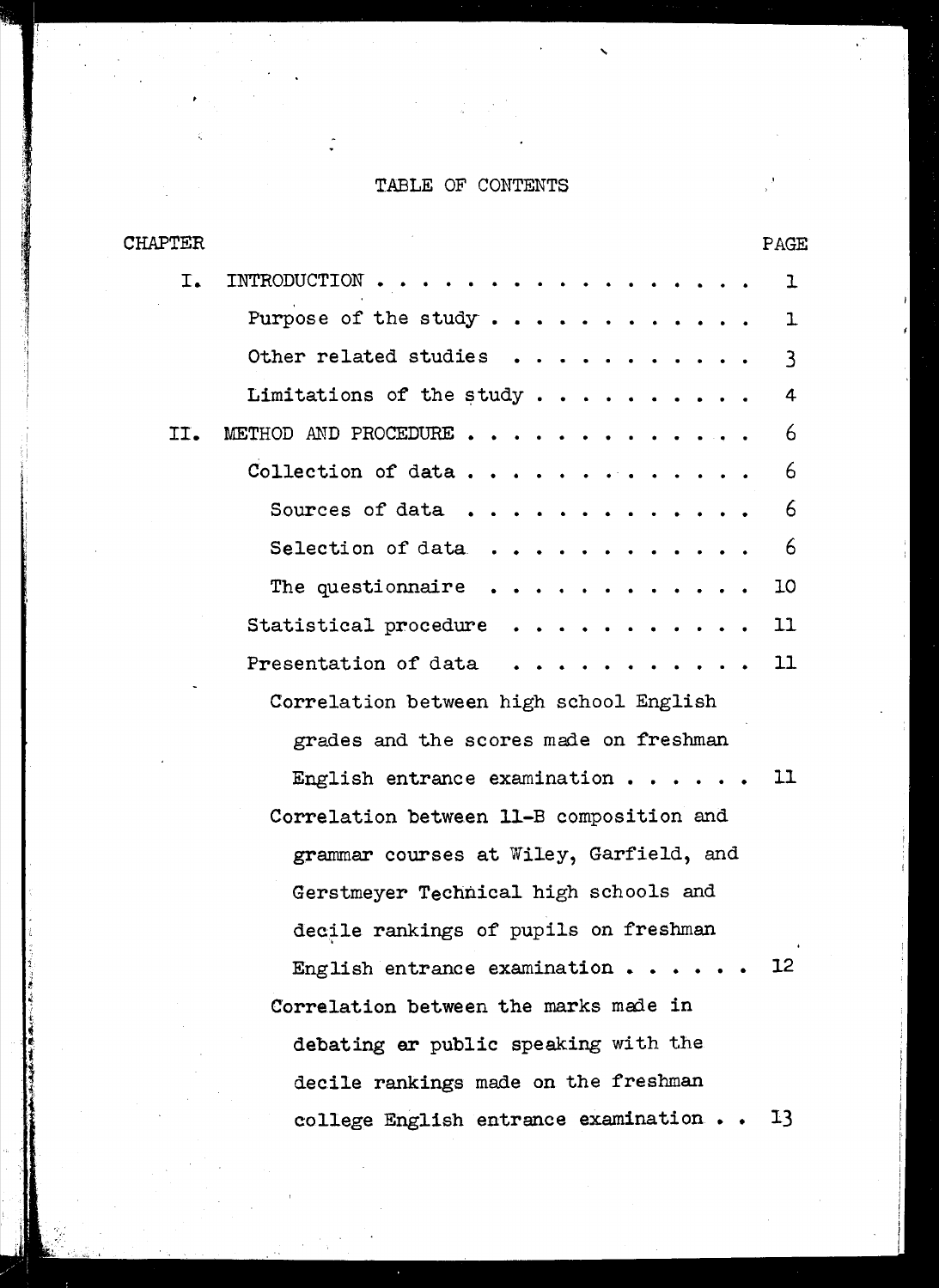#### TABLE OF CONTENTS

| CHAPTER | PAGE                                                           |
|---------|----------------------------------------------------------------|
| I.      | INTRODUCTION<br>ı                                              |
|         | Purpose of the study<br>ı                                      |
|         | Other related studies<br>$\mathbf{3}$                          |
|         | Limitations of the study<br>4                                  |
| II.     | 6<br>METHOD AND PROCEDURE                                      |
|         | 6<br>Collection of data                                        |
|         | 6<br>Sources of data $\ldots$                                  |
|         | 6<br>Selection of data $\ldots$                                |
|         | The question aire $\cdots$<br>10<br>$\bullet$ .                |
|         | Statistical procedure<br>11<br>$\cdot$ $\cdot$ $\cdot$ $\cdot$ |
|         | 11<br>Presentation of data                                     |
|         | Correlation between high school English                        |
|         | grades and the scores made on freshman                         |
|         | 11<br>English entrance examination $\cdots$ .                  |
|         | Correlation between 11-B composition and                       |
|         | grammar courses at Wiley, Garfield, and                        |
|         | Gerstmeyer Technical high schools and                          |
|         | decile rankings of pupils on freshman                          |
|         | 12<br>English entrance examination $\cdots$                    |
|         | Correlation between the marks made in                          |
|         | debating ar public speaking with the                           |
|         | decile rankings made on the freshman                           |
|         | college English entrance examination<br>13                     |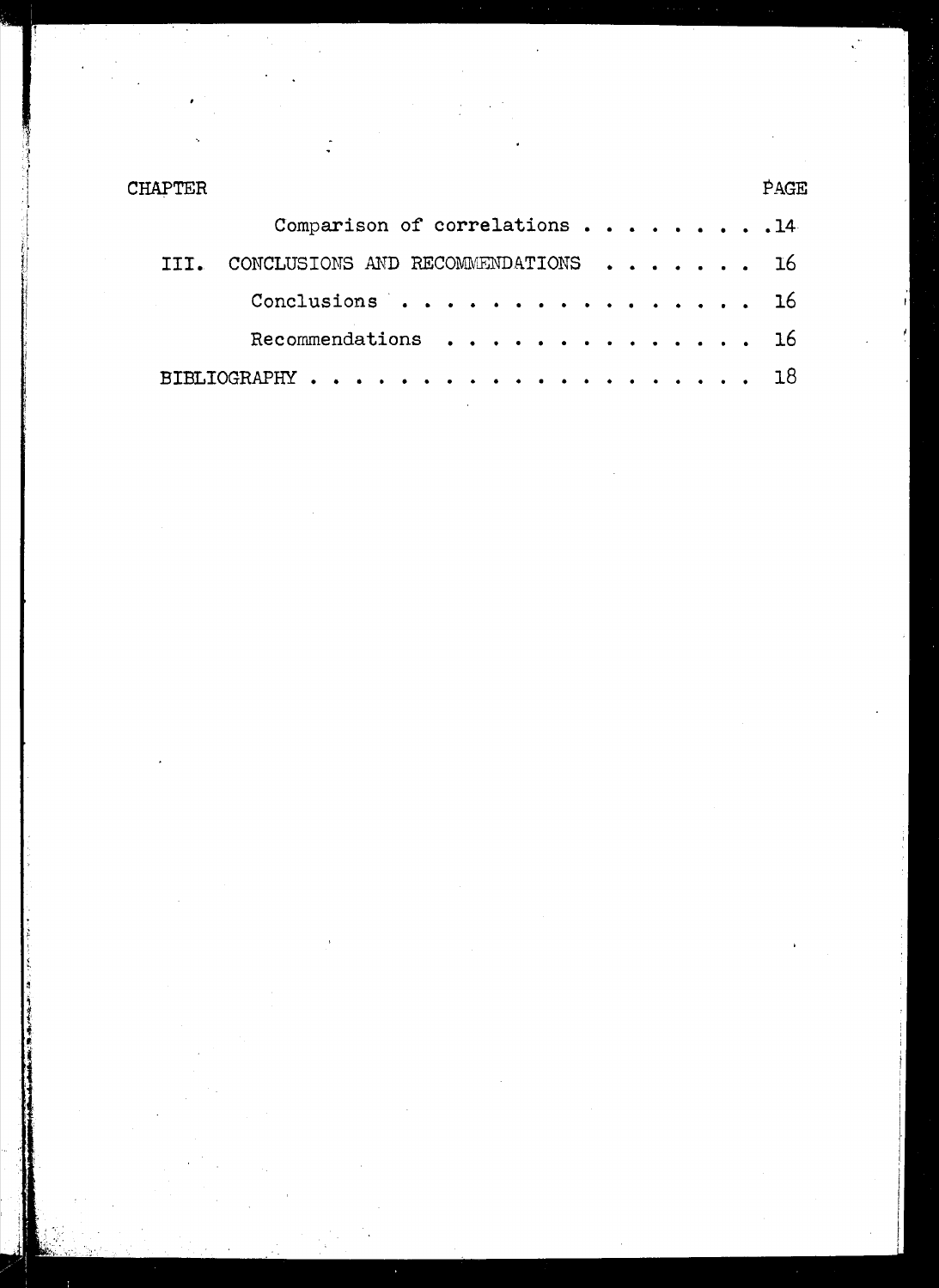| CHAPTER | <b>PAGE</b>                        |  |
|---------|------------------------------------|--|
|         | Comparison of correlations 14      |  |
|         | CONCLUSIONS AND RECOMMENDATIONS 16 |  |
|         | Conclusions 16                     |  |
|         | Recommendations 16                 |  |
|         | $BIBLIOGRAPHY$ 18                  |  |

 $\hat{\mathcal{A}}$ 

 $\hat{\mathbf{r}}$ 

 $\ddot{\phantom{0}}$ 

 $\frac{1}{2}$ 

 $\frac{1}{2}$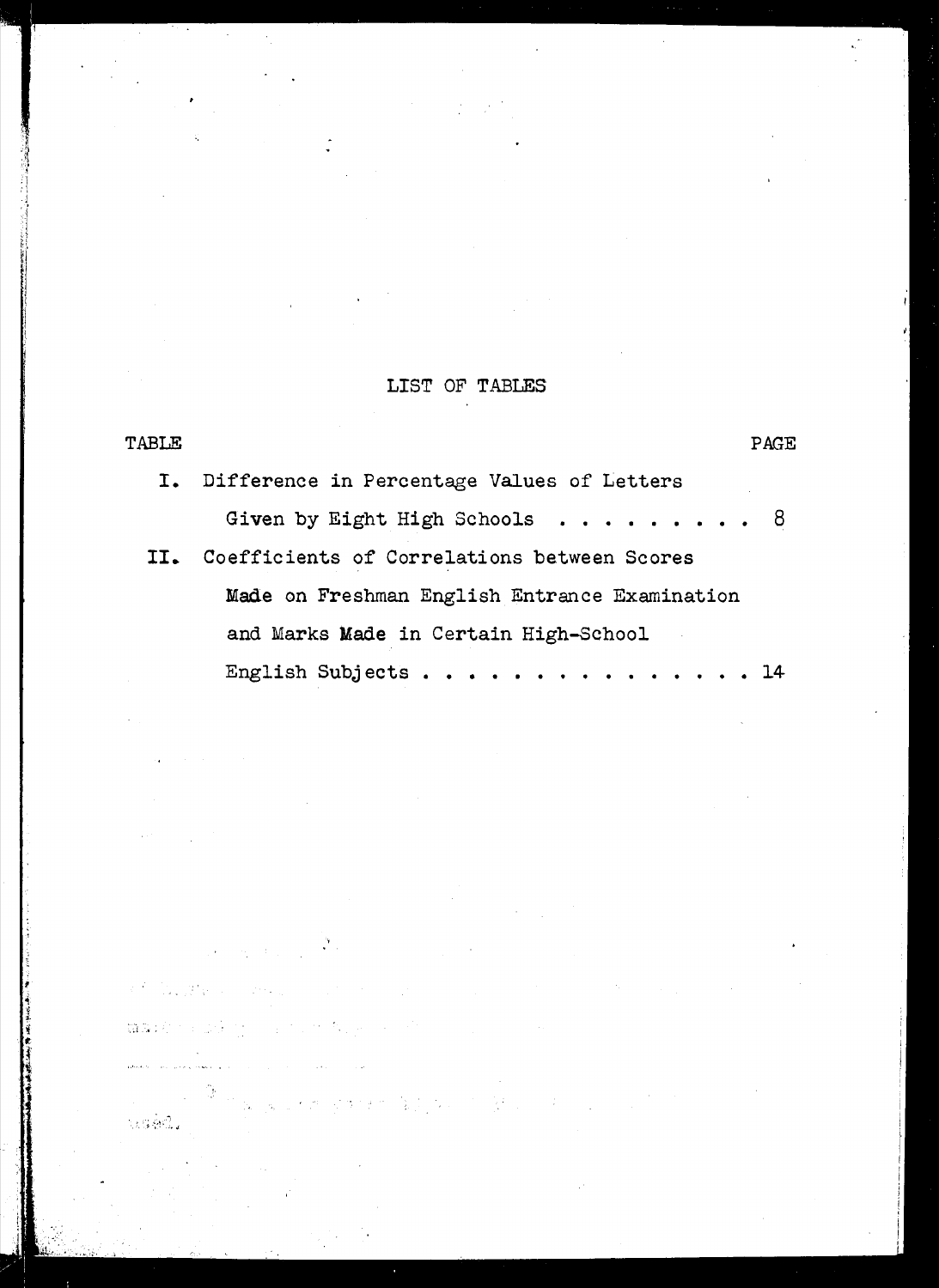## LIST OF TABLES

| TABLE | PAGE                                                 |
|-------|------------------------------------------------------|
|       | I. Difference in Percentage Values of Letters        |
|       | Given by Eight High Schools $\ldots \ldots \ldots$ 8 |
|       | II. Coefficients of Correlations between Scores      |
|       | Made on Freshman English Entrance Examination        |
|       | and Marks Made in Certain High-School                |
|       | English Subjects 14                                  |

n ing

 $\tau_{\rm g}$ 

 $\sim 10^6$ 

 $\mathcal{L}_{\text{max}}$ 

 $\mathcal{P}_{\text{out}}$ 

 $\mathcal{L}_{\mathrm{L}}(\mathbf{v})$  and  $\mathcal{L}_{\mathrm{L}}(\mathbf{v})$ 

篇30分钟(30分) (1) (1) (1) 化设

 $\label{eq:1} \text{where } \hat{u} = \hat{u}^{\dagger} \hat{u}^{\dagger} \hat{u}^{\dagger} = \hat{u}^{\dagger} \hat{u}^{\dagger} \hat{u}^{\dagger} + \hat{u}^{\dagger} \hat{u}^{\dagger} \hat{u}^{\dagger} \hat{u}^{\dagger} + \hat{u}^{\dagger} \hat{u}^{\dagger} \hat{u}^{\dagger} \hat{u}^{\dagger} \hat{u}^{\dagger} + \hat{u}^{\dagger} \hat{u}^{\dagger} \hat{u}^{\dagger} \hat{u}^{\dagger} \hat{u}^{\d$ 

 $\mathcal{L}^{(2)}=\left\langle \mathcal{L}_{\mathcal{L},\mathcal{L}}\mathcal{L}_{\mathcal{R}}^{\mathcal{L}}\right\rangle _{1}\otimes\cdots\otimes\mathcal{L}_{\mathcal{L},\mathcal{L}}^{\mathcal{L}}$ 

tiséd.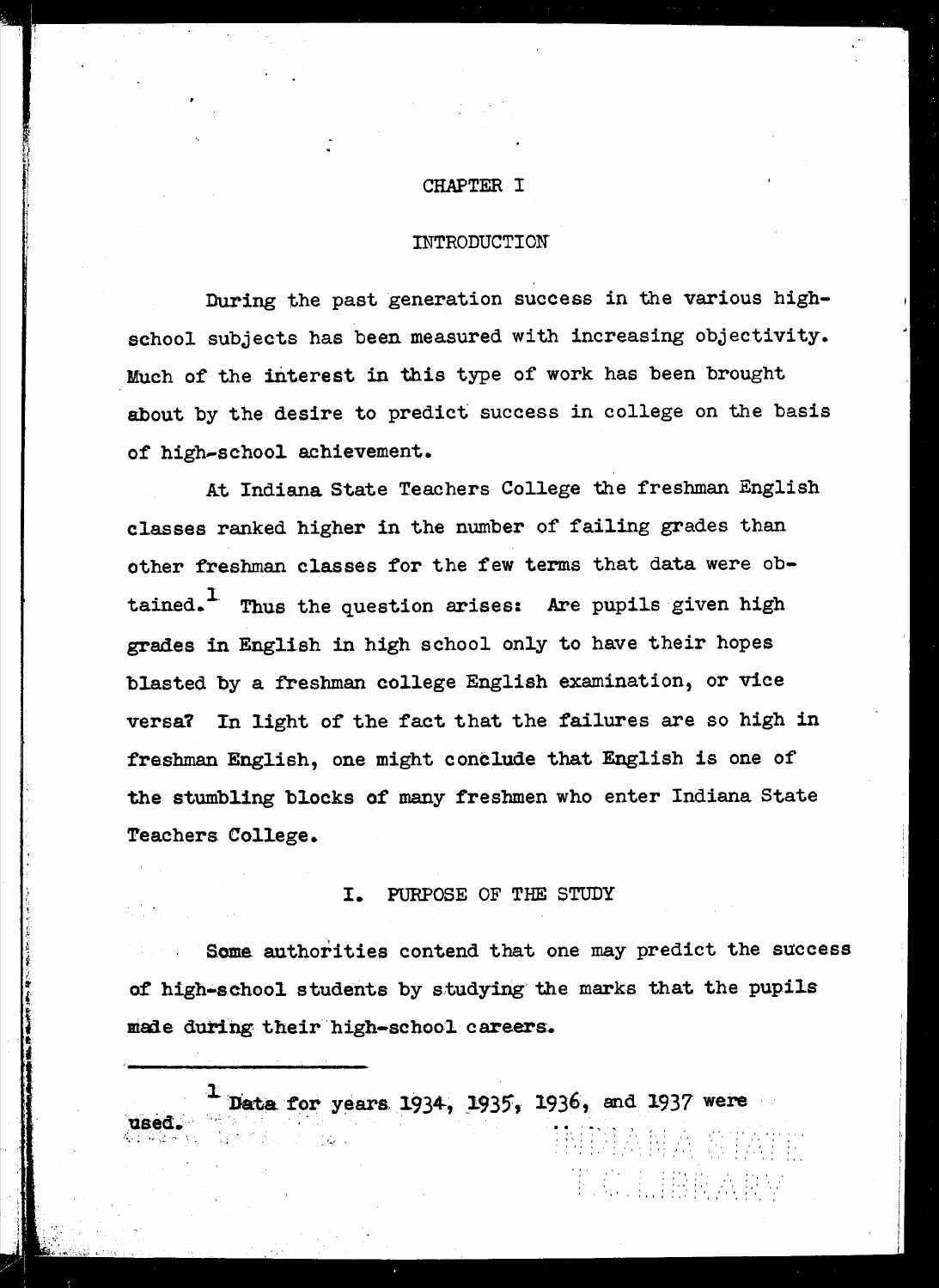#### CHAPTER I

#### INTRODUCTION

During the past generation success in the various highschool subjects has been measured with increasing objectivity. Much of the interest in this type of work has been brought about by the desire to predict success in college on the basis of high-school achievement.

At Indiana. State Teachers College the freshman English classes ranked higher in the number of failing grades than other freshman classes for the few terms that data were obtained.<sup>1</sup> Thus the question arises: Are pupils given high grades in English in high school only to have their hopes blasted by a freshman college English examination, or vice versa? In light of the fact that the failures are so high in freshman English, one might conclude that English is one of' the stumbling blocks of many freshmen who enter Indiana State Teachers College.

#### I. PURPOSE OF THE STUDY

Some authorities contend that one may predict the success of high-school students by studying the marks that the pupils made during their high-school careers.

 $``$   $\vdots$   $\vdots$ 

 $\mathbb{C}$  ,  $\mathbb{I}$  ,  $\mathbb{R}$   $\mathbb{R}$  ,  $\mathbb{R}$  ,  $\mathbb{R}$  ,

.~, : ~." ) '" • J .'.J " Data for years 1934, 1935, 1936, and 1937 were used.' I:.,; ';;..' ',-'

"'I

••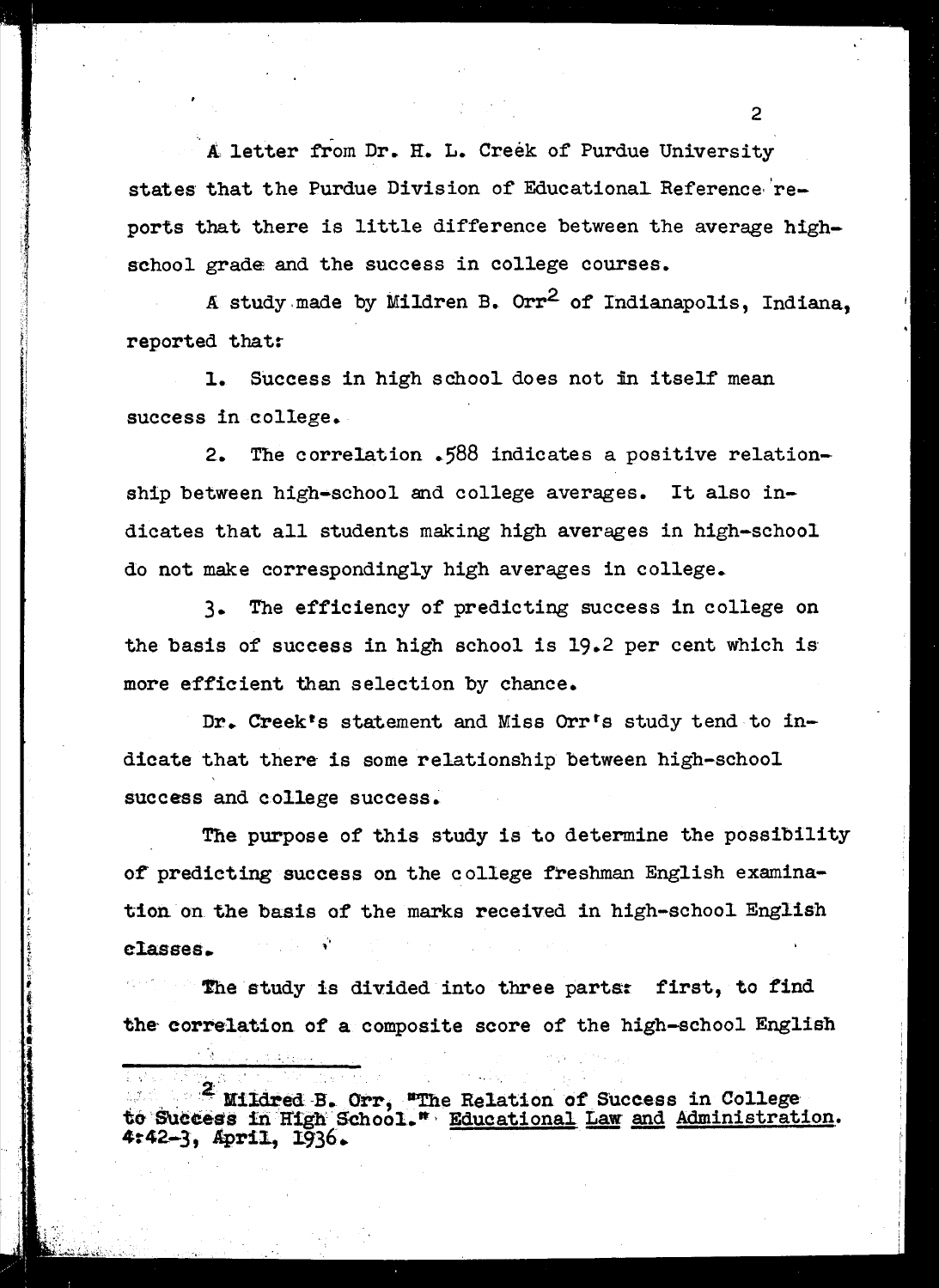A, letter from Dr. H. L. Creek of Purdue University states that the Purdue Division of Educational. Reference·'reports that there is little difference between the average highschool grade and the success in college courses.

A study made by Mildren B.  $0rr^2$  of Indianapolis, Indiana. reported that:-

success in college. 1. Success in high school does not in itself mean

2. The correlation .588 indicates a positive relationship between high-school and college averages. It also indicates that all students making high averages in high-school do not make correspondingly high averages in college.

3- The efficiency of predicting success in college on the basis of success in high school is 19.2 per cent which is' more efficient than selection by chance.

Dr. Creek's statement and Miss Orr's study tend to indicate that there is some relationship between high-school success and college success.

classes. The purpose of this study is to determine the possibility of predicting success on the college freshman English examination on the basis of the marks received in high-school English

J

The study is divided into three parts: first, to find the correlation of a composite score of the high-school English

2 Mildred B. Orr, "The Relation of Success in College to Success in High School." Educational Law and Administration. 4:42-3, April, 1936.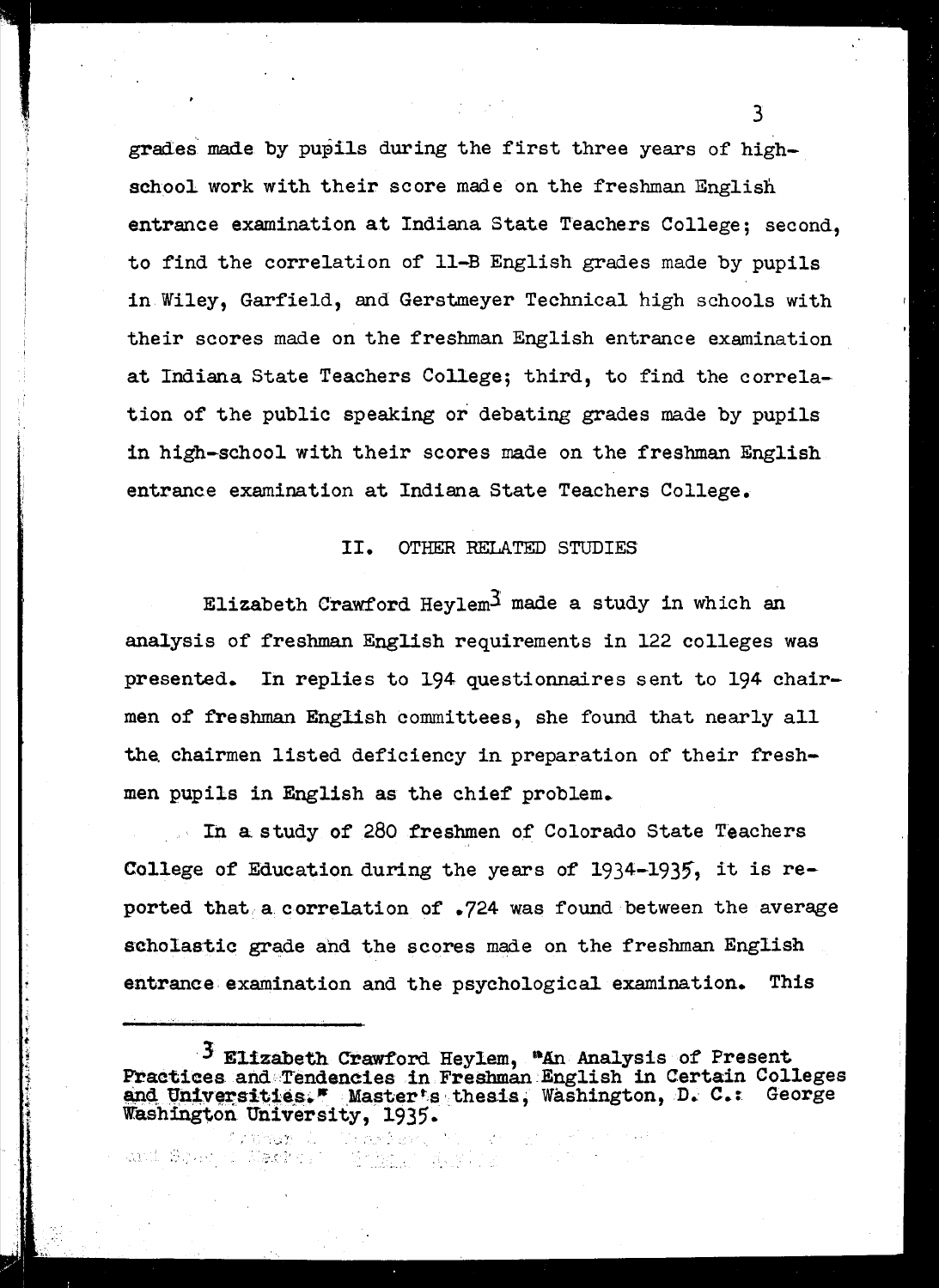grades made by pupils during the first three years of highschool work with their score made on the freshman English entrance examination at Indiana State Teachers College; second, to find the correlation of Il-B English grades made by pupils in Wiley, Garfield, and Gerstmeyer Technical high schools with their scores made on the freshman English entrance examination at Indiana State Teachers College; third, to find the correlation of the public speaking or debating grades made by pupils in high-school with their scores made on the freshman English entrance examination at Indiana State Teachers College.

#### II. OTHER RELATED STUDIES

Elizabeth Crawford Hevlem<sup>3</sup> made a study in which an analysis of freshman English requirements in 122 colleges was presented. In replies to 194 questionnaires sent to 194 chairmen of freshman English committees, she found that nearly all the chairmen listed deficiency in preparation of their freshmen pupils in English as the chief problem.

In a study of 280 freshmen of Colorado State Teachers College of Education during the years of  $1934-1935$ , it is reported that, a correlation of .724 was found between the average scholastic grade ahd the scores made on the freshman English entrance examination and the psychological examination. This

<sup>3</sup> Elizabeth Crawford Heylem, "An Analysis of Present Practices and Tendencies in Freshman English in Certain Colleges and Universities." Masterts thesis, Washington, D. C.: George Washington University, 1935.

natan wasan s

I' t

and Source East of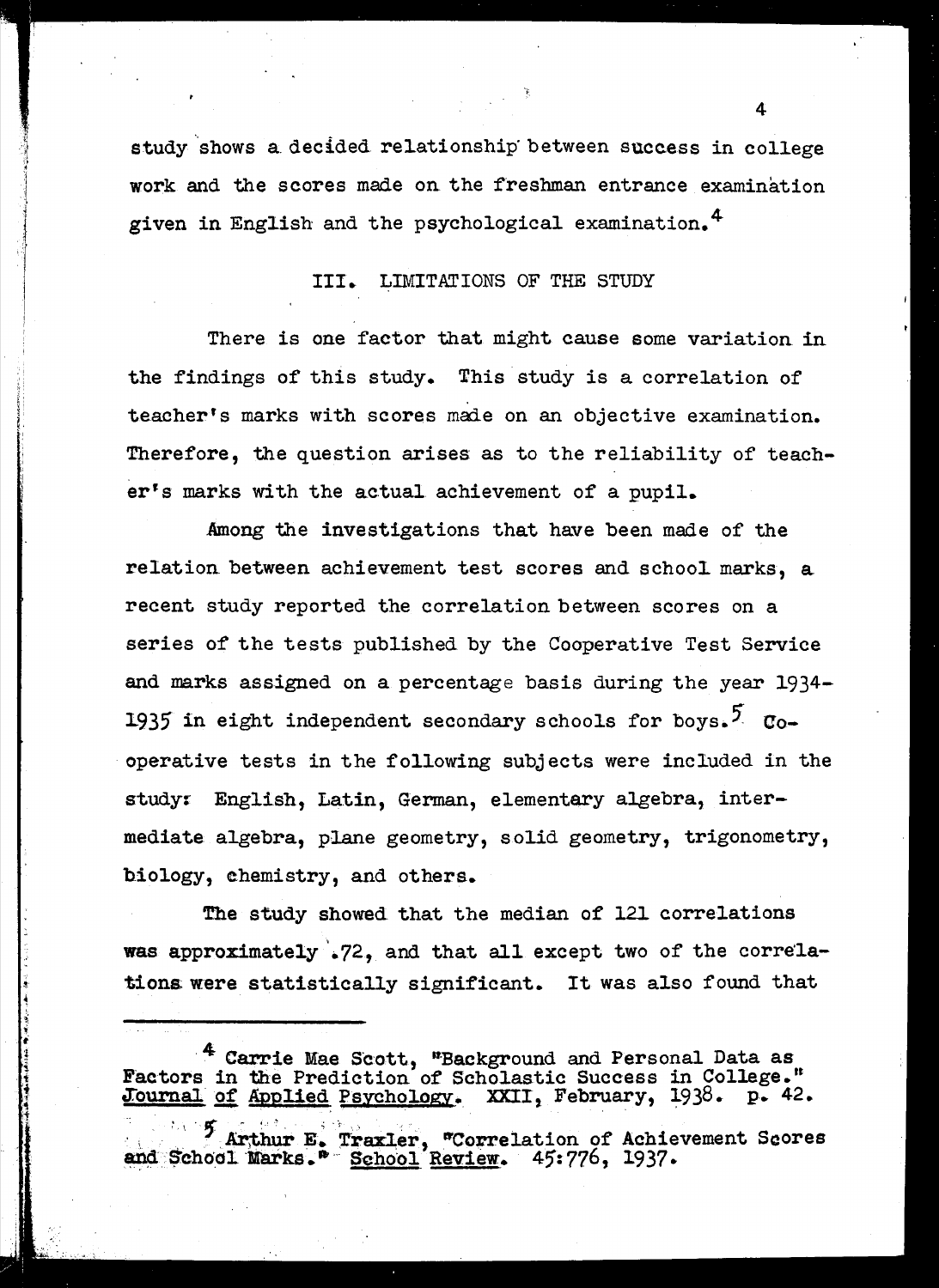study shows a decided relationship between success in college work and the scores made on the freshman entrance examination given in English and the psychological examination. 4

.. j  $^{\circ}$ • I

<u>International Control</u>

**I**  $\parallel$ !

!;I

#### III. LIMITATIONS OF THE STUDY

There is one factor that might cause some variation in the findings of this study. This study is a correlation of teacher's marks with scores made on an objective examination. Therefore, the question arises as to the reliability of teacher's marks with the actual achievement of a pupil.

Among the investigations that have been made of the relation between achievement test scores and school marks, a recent study reported the correlation between scores on a series of the tests published by the Cooperative Test Service and marks assigned on a percentage basis during the year 1934- 1935 in eight independent secondary schools for boys.<sup>5</sup> Cooperative tests in the following subjects were included in the study: English, Latin, German, elementary algebra, intermediate algebra, plane geometry, solid geometry, trigonometry, biology, ehemistry, and others.

The study showed that the median of 121 correlations was approximately .72, and that all except two of the correlationa were statistically significant. It was also found that

<sup>4</sup> Carrie Mae Scott, "Background and Personal Data as Factors in the Prediction of Scholastic Success in College." Journal of Applied Psychology. XXII, February, 1938. p. 42.

<sup>7</sup> Arthur E. Trax1er, "Correlation of Achievement Scores and School Marks." School Review. 45:776, 1937.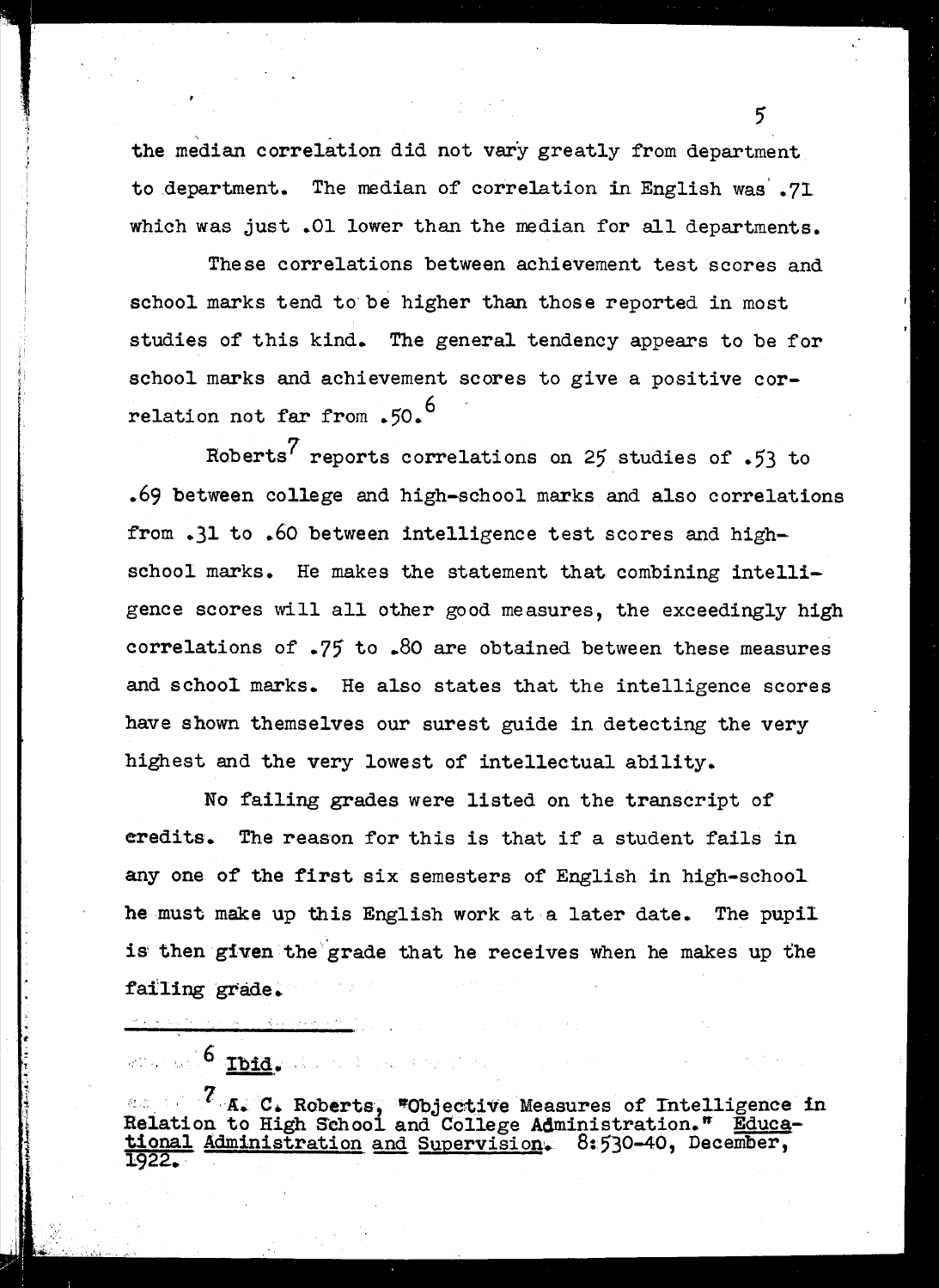the median correlation did not vary greatly from department to department. The median of correlation in English was' .7I which was just .01 lower than the median for all departments.

..

These correlations between achievement test scores and school marks tend to be higher than those reported in most studies of this kind. The general tendency appears to be for school marks and achievement scores to give a positive correlation not far from .50.<sup>6</sup>

Roberts<sup>7</sup> reports correlations on 25 studies of .53 to .69 between college and high-school marks and also correlations from .31 to .60 between intelligence test scores and highschool marks. He makes the statement that combining intelligence scores will all other good measures, the exceedingly high correlations of .75 to .80 are obtained between these measures and school marks. He also states that the intelligence scores have shown themselves our surest guide in detecting the very highest and the very lowest of intellectual ability.

No failing grades were listed on the transcript of credits. The reason for this is that if a student fails in anyone of the first six semesters of English in high-schooI he must make up this English work at a later date. The pupil is then given the grade that he receives when he makes up the failing grade.

 $\mathcal{C}$  .  $\mathcal{C}$  . Roberts, "Objective Measures of Intelligence in Relation to High School and College Administration." Educational Administration and Supervision. 8:530-40, December, 1922.. ·

and an  $\epsilon$  . This can be a more

 $5^{\circ}$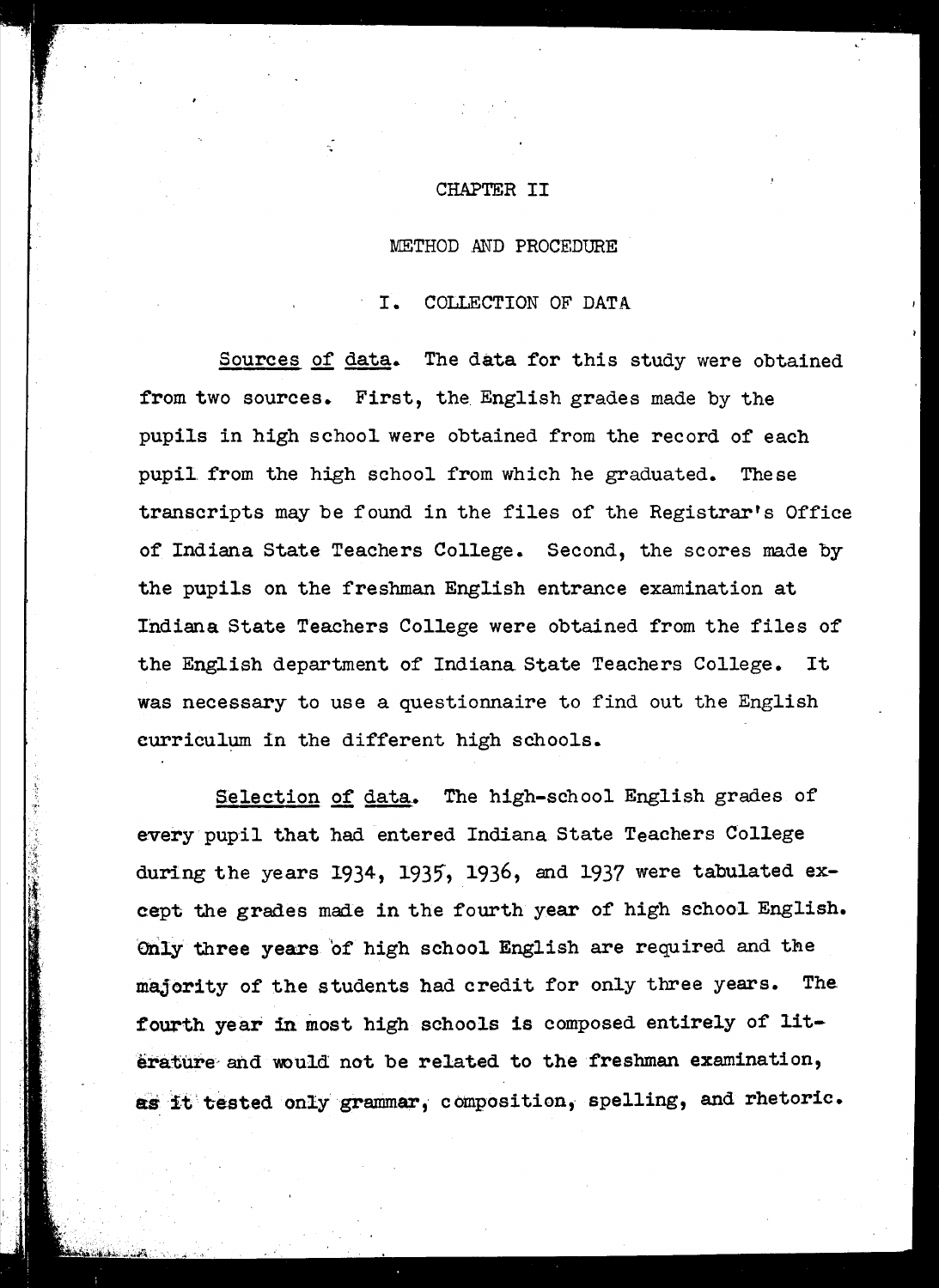#### CHAPTER II

#### METHOD AND PROCEDURE

#### I. COLLECTION OF DATA

Sources of data. The data for this study were obtained from two sources. First, the English grades made by the pupils in high school were obtained from the record of each pupil from the high school from which he graduated. The se transcripts may be found in the files of the Registrar's Office of Indiana State Teachers College. Second, the scores made by the pupils on the freshman English entrance examination at Indiana State Teachers College were obtained from the files of the English department of Indiana State Teachers College. It was necessary to use a questionnaire to find out the English curriculum in the different high schools..

Selection of data. The high-school English grades of every pupil that had entered Indiana State Teachers College during the years 1934, 1935, 1936, and 1937 were tabulated except the grades made in the fourth year of high school English. Only three years of high school English are required and the majority of the students had credit for only three years. The fourth year in most high schools is composed entirely of literature' and would not be related to the freshman examination, as it tested only grammar, composition, spelling, and rhetoric.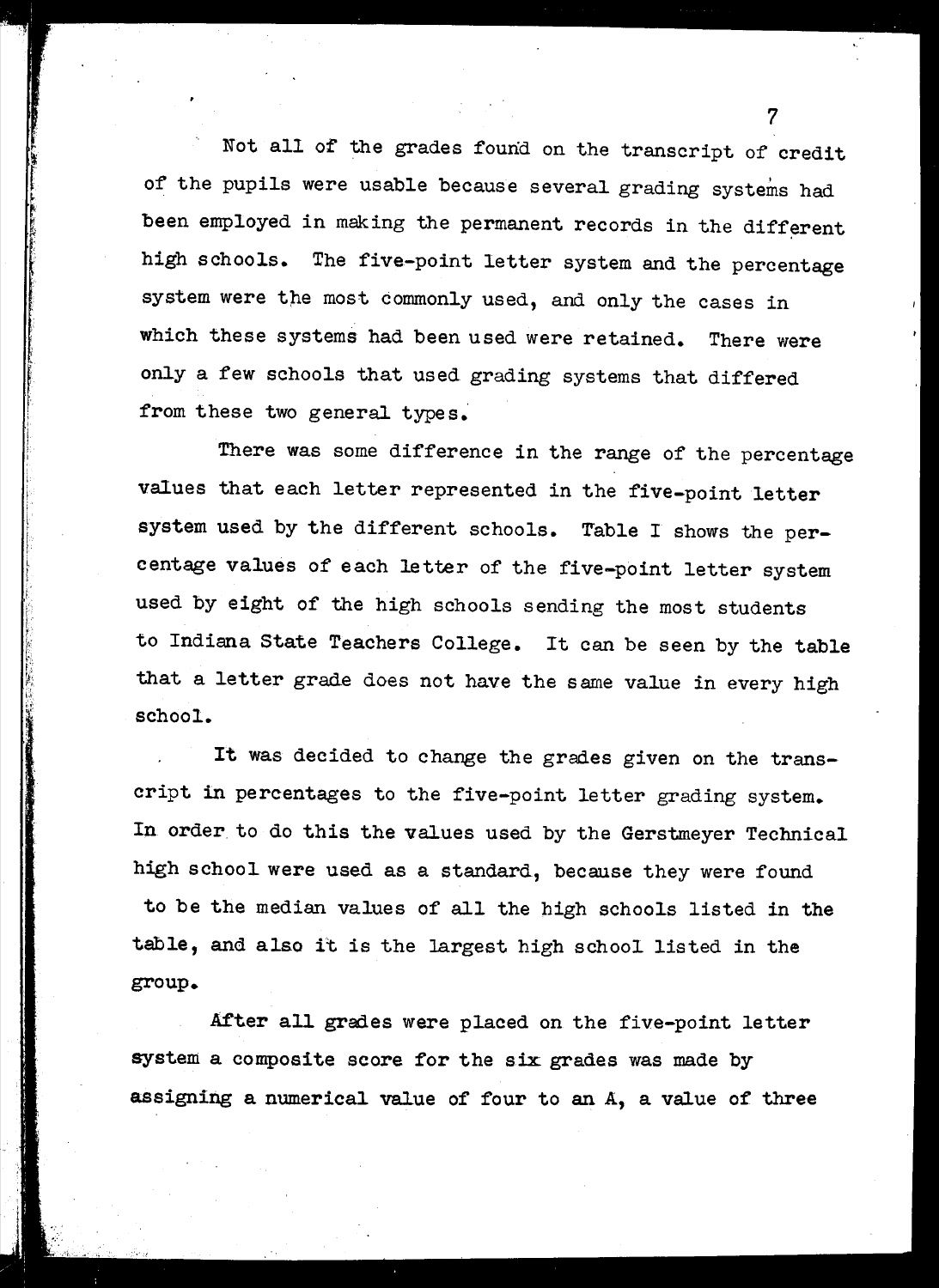Not all of the grades found on the transcript of credit of the pupils were usable because several grading systems had been employed in making the permanent records in the different high schools. The five-point letter system and the percentage system were the most commonly used, and only the cases in which these systems had been used were retained. There were only a few schools that used grading systems that differed from these two general types.

There was some difference in the range of the percentage values that each letter represented in the five-point letter system used by the different schools. Table <sup>I</sup> shows the percentage values of each letter of the five-point letter system used by eight of the high schools sending the most students to Indiana State Teachers College. It can be seen by the table that a letter grade does not have the same value in every high school.

It was decided to change the grades given on the transcript in percentages to the five-point letter grading system. In order to do this the values used by the Gerstmeyer Technical high school were used as a standard, because they were found to be the median values of all the high schools listed in the table, and also it is the largest high school listed in the group.

After all grades were placed on the five-point letter system a composite score for the six grades was made by assigning a numerical value of four to an A, a value of three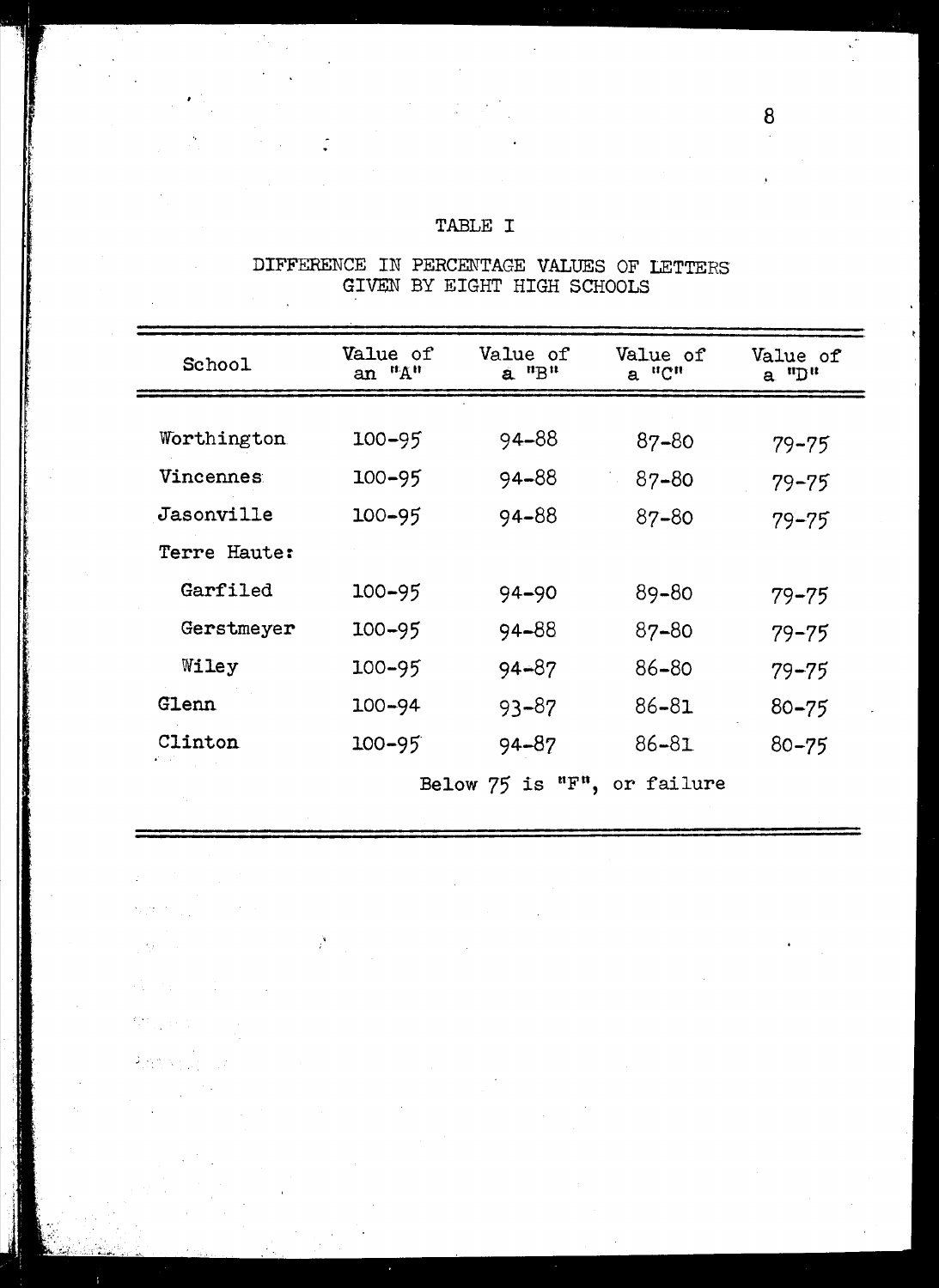### TABLE I

DIFFERENCE IN PERCENTAGE VALUES OF LETTERS GIVEN BY EIGHT HIGH SCHOOLS

| School                | <b>Value of</b><br>an "A" | Value of<br>$a$ <sup>n</sup> $B$ <sup>n</sup> | Value of<br>a "C" | Value of<br>a "D" |
|-----------------------|---------------------------|-----------------------------------------------|-------------------|-------------------|
|                       |                           |                                               |                   |                   |
| Worthington           | $100 - 95$                | 94–88                                         | 87-80             | $79 - 75$         |
| Vincennes             | $100 - 95$                | 94-88                                         | $87 - 80$         | $79 - 75$         |
| Jasonville            | $100 - 95$                | 94-88                                         | 87-80             | $79 - 75$         |
| Terre Haute:          |                           |                                               |                   |                   |
| Garfiled              | 100-95                    | 94-90                                         | 89-80             | $79 - 75$         |
| Gerstmeyer            | $100 - 95$                | 94-88                                         | 87-80             | $79 - 75$         |
| Wiley                 | $100 - 95$                | $94 - 87$                                     | 86-80             | $79 - 75$         |
| Glenn                 | $100 - 94$                | $93 - 87$                                     | $86 - 81$         | $80 - 75$         |
| Clinton<br>المالي أكو | $100 - 95$                | 94-87                                         | $86 - 81$         | $80 - 75$         |
|                       |                           | Below $75$ is " $F$ ",                        | or failure        |                   |

 $\frac{1}{\epsilon}$ 

o.

 $\frac{d\Delta_{\rm{eff}}}{d\Delta_{\rm{eff}}}$  and

 $\mathfrak{I}[\varphi_{\mathfrak{p}}^{\text{w}}\varphi_{\mathfrak{p}}]$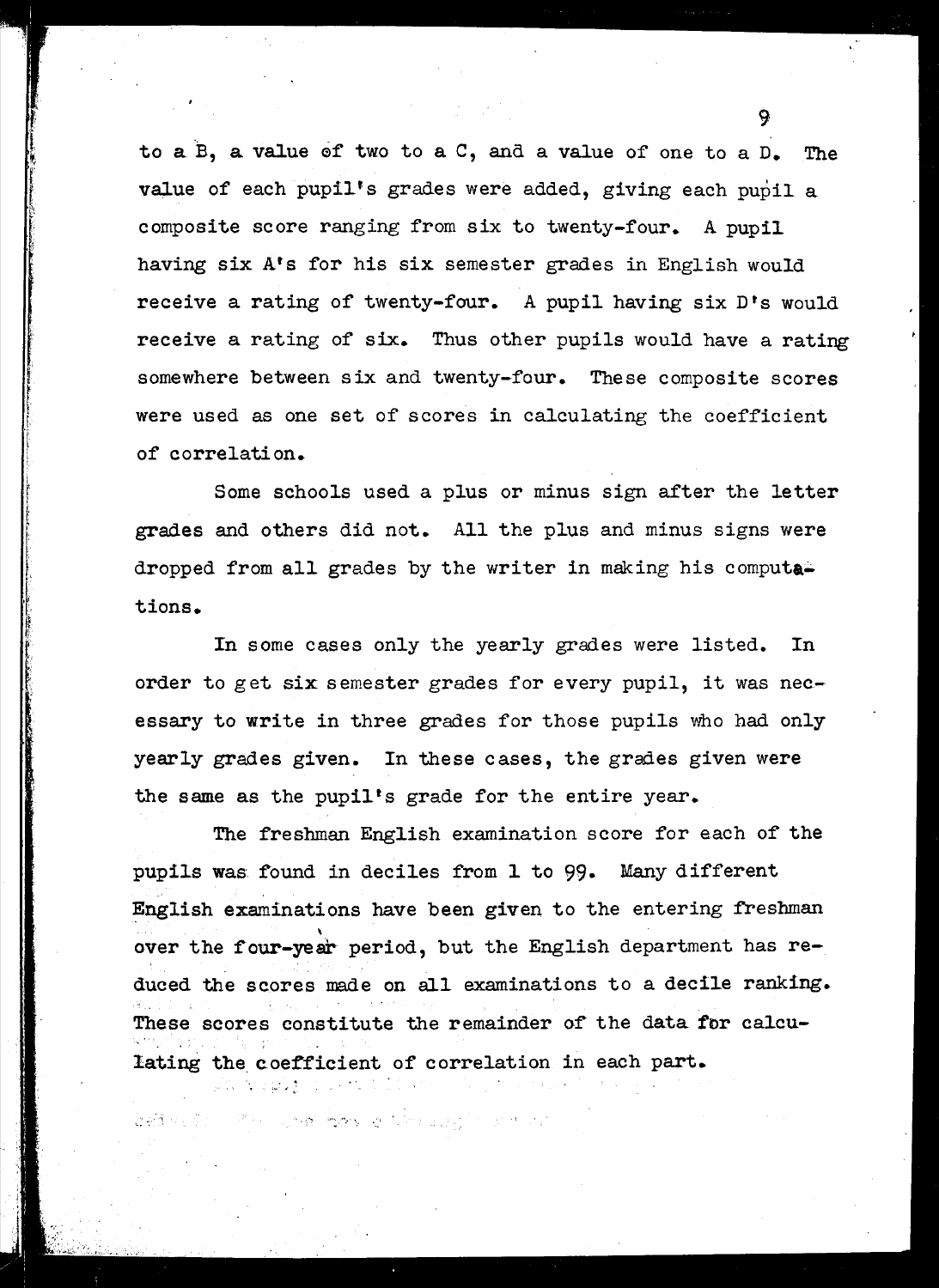to a B, a value of two to a C, and a value of one to a D. The value of each pupil's grades were added, giving each pupil a composite score ranging from six to twenty-four. A pupil having six Ats for his six semester grades in English would receive a rating of twenty-four. A pupil having six D's would receive a rating of six. Thus other pupils would have a rating somewhere between six and twenty-four. These composite scores were used as one set of scores in calculating the coefficient of correlation.

Some schools used a plus or minus sign after the letter grades and others did not. All the plus and minus signs were dropped from all grades by the writer in making his computa tions.

In some cases only the yearly grades were listed. In order to get six semester grades for every pupil, it was necessary to write in three grades for those pupils who had only yearly grades given. In these cases, the grades given were the same as the pupil's grade for the entire year.

The freshman English examination score for each of the pupils was found in deciles from 1 to 99. Many different English examinations have been given to the entering freshman  $\ddot{\phantom{a}}$ over the four-year period, but the English department has reduced the scores made on all examinations to <sup>a</sup> decile ranking. These scores constitute the remainder of the data for calculating the coefficient of correlation in each part.

ង ស្រុកថ្ងៃ បានក i Pilipina Powy o Nebusaji na dibu

ともまりとうい

 $\mathbf{Q}$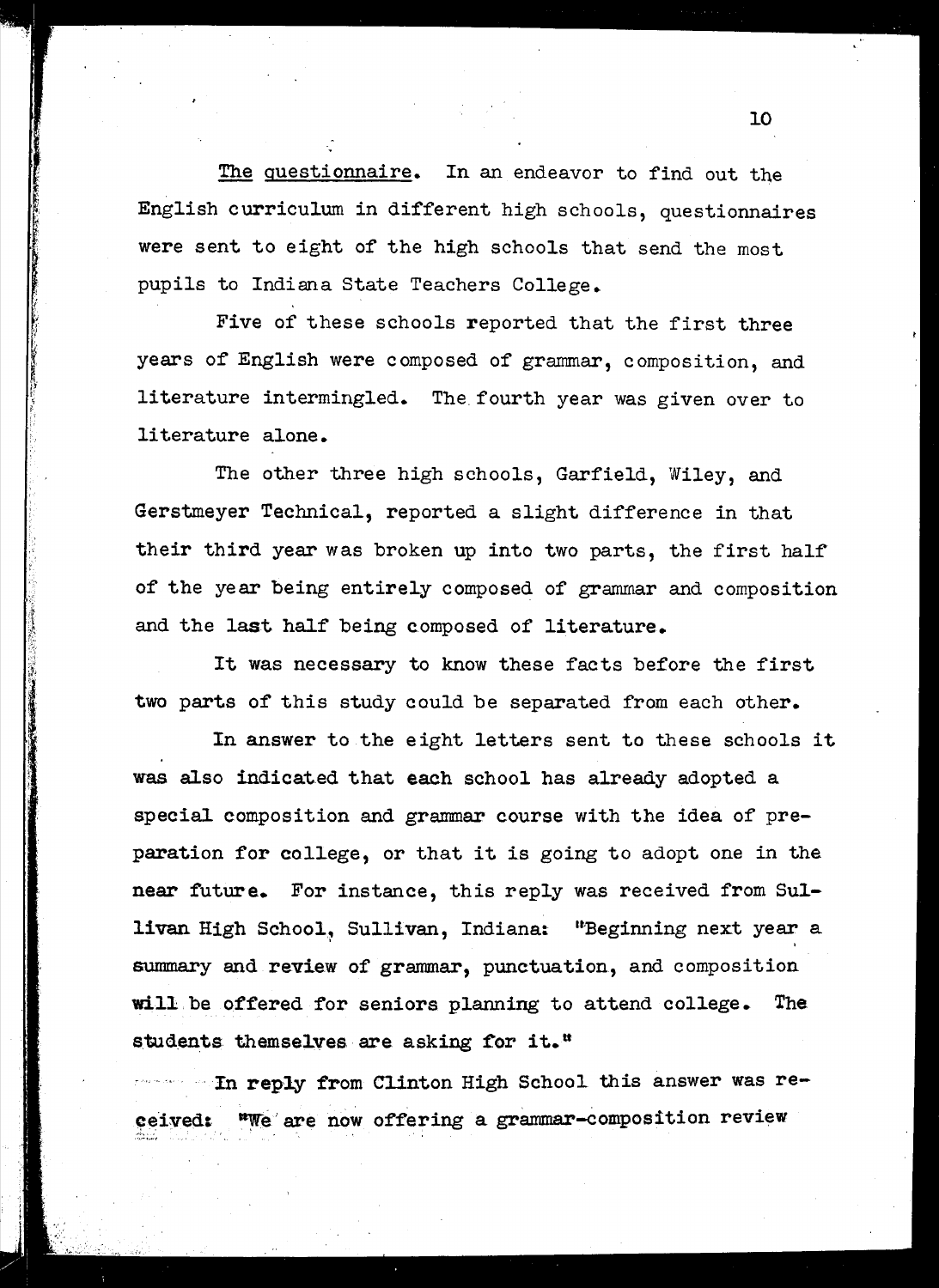The questionnaire. In an endeavor to find out the English curriculum in different high schools, questionnaires were sent to eight of the high schools that send the most pupils to Indiana State Teachers College.

Five of these schools reported that the first three years of English were composed of grammar, composition, and literature intermingled. The. fourth year was given over to literature alone.

The other three high schools, Garfield, Wiley, and Gerstmeyer Technical, reported a slight difference in that their third year was broken up into two parts, the first half of the year being entirely composed of grammar and composition and the last half being composed of literature.

It was necessary to know these facts before the first two parts of this study could be separated from each other.

.<br>ا  $\mathcal{D}_i$ 

In answer to the eight letters sent to these schools it was also indicated that each school has already adopted a special composition and grammar course with the idea of preparation for college, or that it is going to adopt one in the near future. For instance, this reply was received from Sullivan High School, Sullivan, Indiana: "Beginning next year a summary and review of grammar, punctuation, and composition will be offered for seniors planning to attend college. The students themselves are asking for it."

In reply from Clinton High School this answer was re- $MSE$  are now offering a grammar-composition review ceived: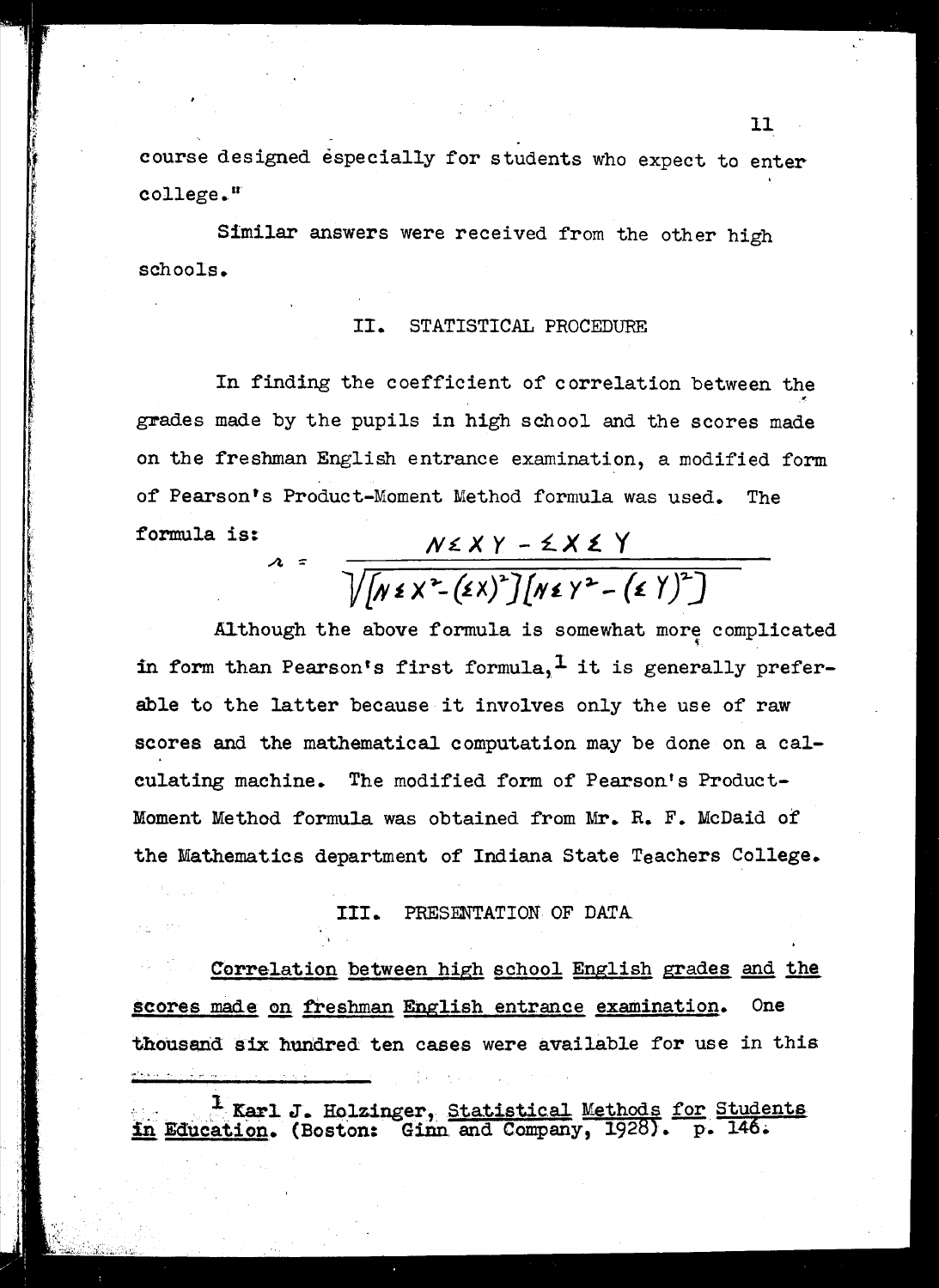course designed especially for students who expect to enter college."

Similar answers were received from the other high schools.

#### II. STATISTICAL PROCEDURE

In finding the coefficient of correlation between the grades made by the pupils in high school and the scores made on the freshman English entrance examination, a modified form of Pearson's Product-Moment Method formula was used. The formula is:

# $N \le XY - \le X \le Y$ <br> $\sqrt{(N \le X^2 - (\epsilon X)^2)(N \le Y^2 - (\epsilon Y)^2)}$

Although the above formula is somewhat more complicated in form than Pearson's first formula,  $\frac{1}{x}$  it is generally preferable to the latter because it involves only the use of raw scores and the mathematical computation may be done on a cal-The modified form of Pearson's Productculating machine. Moment Method formula was obtained from Mr. R. F. McDaid of the Mathematics department of Indiana State Teachers College.

> PRESENTATION OF DATA III.

Correlation between high school English grades and the scores made on freshman English entrance examination. **One** thousand six hundred ten cases were available for use in this

Karl J. Holzinger, Statistical Methods for Students<br>in Education. (Boston: Ginn and Company, 1928). p. 146.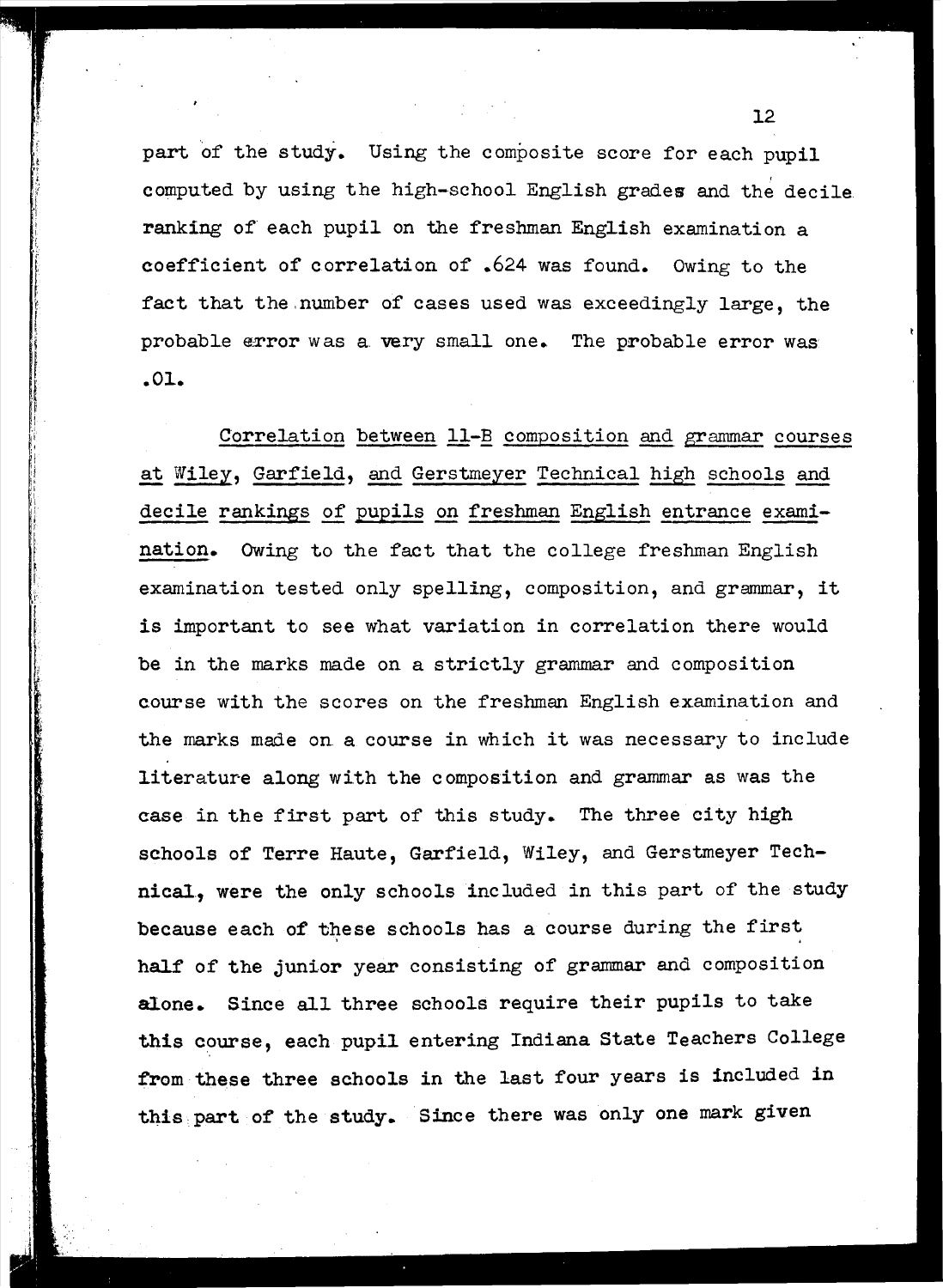part of the study. Using the composite score for each pupil computed by using the high-school English grades and the decile ranking of each pupil on the freshman English examination a coefficient of correlation of .624 was found. Owing to the fact that the number of cases used was exceedingly large, the probable error was a very small one. The probable error was .01.

!.

Correlation between 11-B composition and grammar courses at Wiley, Garfield, and Gerstmeyer Technical high schools and decile rankings of pupils on freshman English entrance examination. Owing to the fact that the college freshman English examination tested only spelling, composition, and grammar, it is important to see what variation in correlation there would be in the marks made on a strictly grammar and composition course with the scores on the freshman English examination and the marks made on <sup>a</sup> course in which it was necessary to include literature along with the composition and grammar as was the case in the first part of this study. The three city high schools of Terre Haute, Garfield, Wiley, and Gerstmeyer Technical, were the only schools included in this part of the study because each of these schools has a course during the first half of the junior year consisting of grammar and composition alone. Since all three schools require their pupils to take this course, each pupil entering Indiana State Teachers College from these three schools in the last four years is included in this part of the study. Since there was only one mark given

 $12<sup>2</sup>$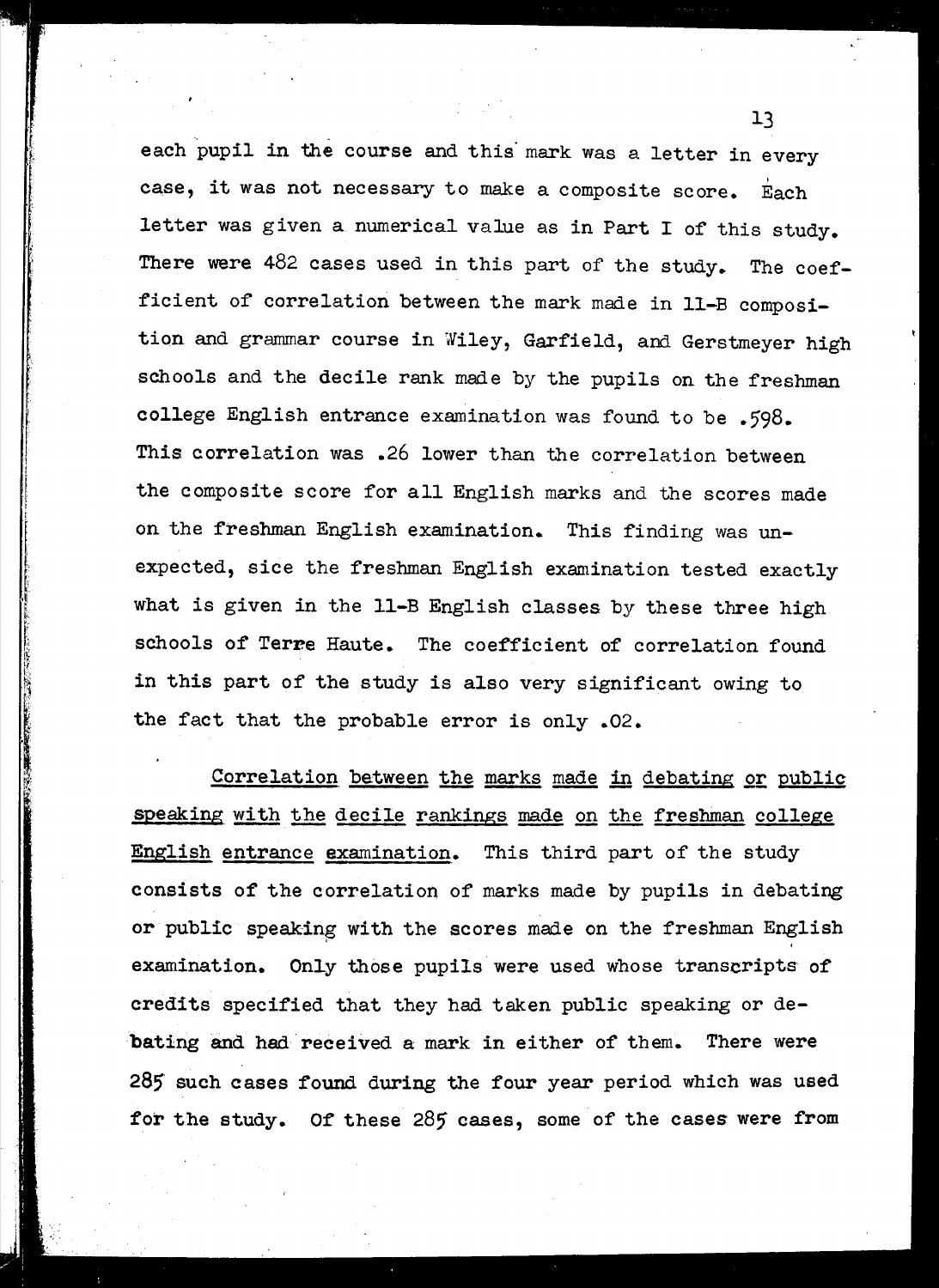each pupil in the course and this mark was a letter in every case, it was not necessary to make a composite score. Each letter was given a numerical value as in Part I of this study. There were  $482$  cases used in this part of the study. The coefficient of correlation between the mark made in 11-B composition and grammar course in Wiley, Garfield, and Gerstmeyer high schools and the decile rank made by the pupils on the freshman college English entrance examination was found to be .598. This correlation was .26 lower than the correlation between the composite score for all English marks and the scores made on the freshman English examination. This finding was unexpected, sice the freshman English examination tested exactly what is given in the Il-B English classes by these three high schools of Terre Haute. The coefficient of correlation found in this part of the study is also very significant owing to the fact that the probable error is only .02.

Correlation between the marks made in debating or public speaking with the decile rankings made on the freshman college English entrance examination. This third part of the study consists of the correlation of marks made by pupils in debating or public speaking with the scores made on the freshman English examination. Only those pupils were used whose transcripts of credits specified that they had taken public speaking or debating and had received a mark in either of them. There were 285 such cases found during the four year period which was used for the study. Of these  $285$  cases, some of the cases were from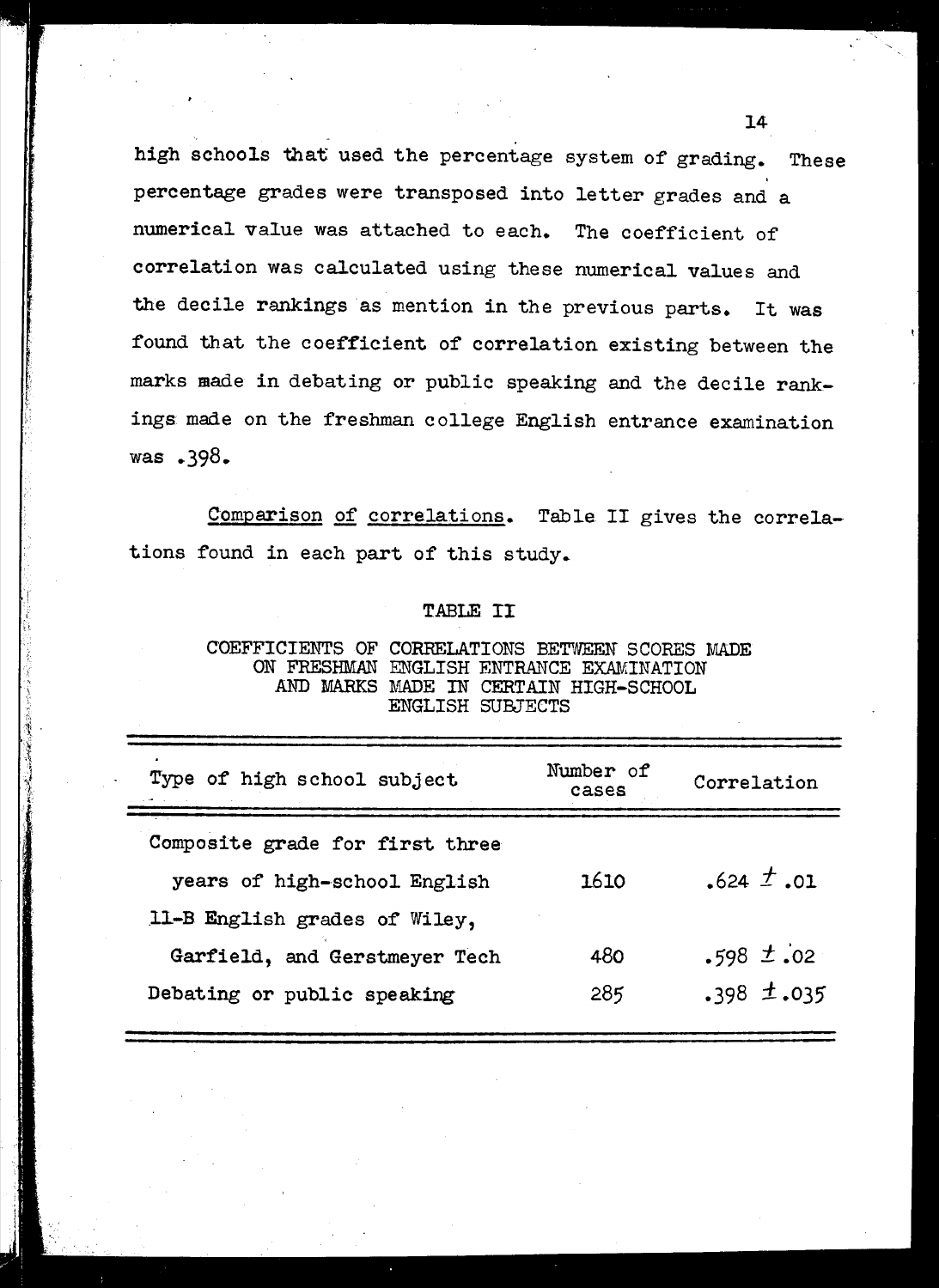high schools that used the percentage system of grading. These percentage grades were transposed into letter grades and a numerical value was attached to each. The coefficient of correlation was calculated using these numerical values and the decile rankings as mention in the previous parts. It was found that the coefficient of correlation existing between the marks made in debating or public speaking and the decile rankings made on the freshman college English entrance examination was .398.

Comparison of correlations. Table II gives the correlations found in each part of this study.

#### TABLE II

| COEFFICIENTS OF CORRELATIONS BETWEEN SCORES MADE |                                       |  |
|--------------------------------------------------|---------------------------------------|--|
| ON FRESHMAN ENGLISH ENTRANCE EXAMINATION         |                                       |  |
|                                                  | AND MARKS MADE IN CERTAIN HIGH-SCHOOL |  |
|                                                  | ENGLISH SUBJECTS                      |  |

| Type of high school subject                                     | Number of<br>cases | Correlation     |
|-----------------------------------------------------------------|--------------------|-----------------|
| Composite grade for first three<br>years of high-school English | 1610               | $.624 \pm .01$  |
| 11-B English grades of Wiley,                                   |                    |                 |
| Garfield, and Gerstmeyer Tech                                   | 480                | $.598 \pm .02$  |
| Debating or public speaking                                     | 285                | $.398 \pm .035$ |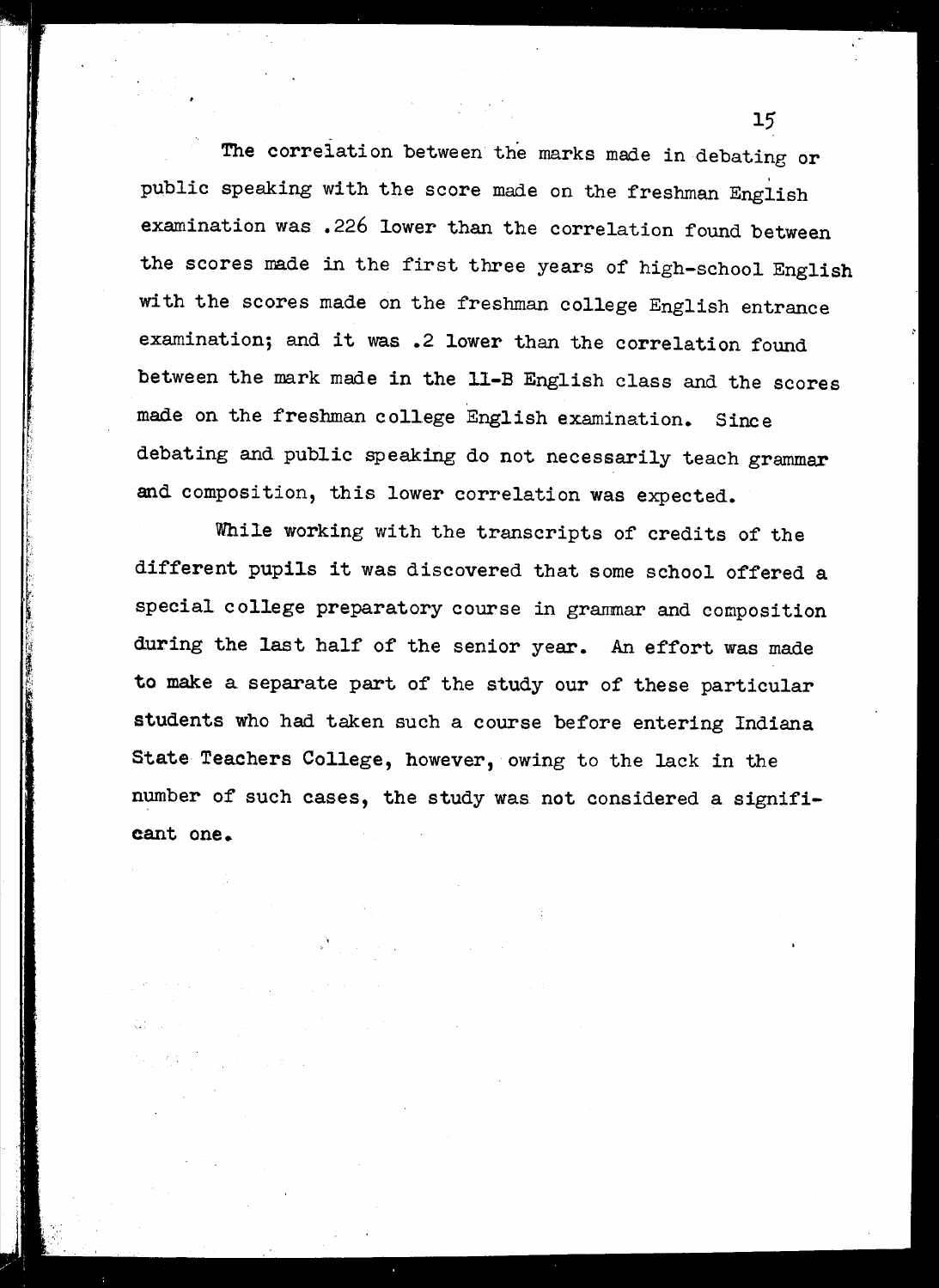$15$   $15$ The correlation between the marks made in debating or . public speaking with the score made on the freshman English examination was .226 lower than the correlation found between the scores made in the first three years of high-school English with the scores made on the freshman college English entrance examination; and it was .2 lower than the correlation found between the mark made in the ll-B English class and the scores made on the freshman college English examination. Since debating and public speaking do not necessarily teach grammar and composition, this lower correlation was expected.

While working with the transcripts of credits of the different pupils it was discovered that some school offered <sup>a</sup> special college preparatory course in grammar and composition during the last half of the senior year. An effort was made to make a separate part of the study our of these particular students who had taken such a course before entering Indiana State Teachers College, however, owing to the lack in the number of such cases, the study was not considered a significant one.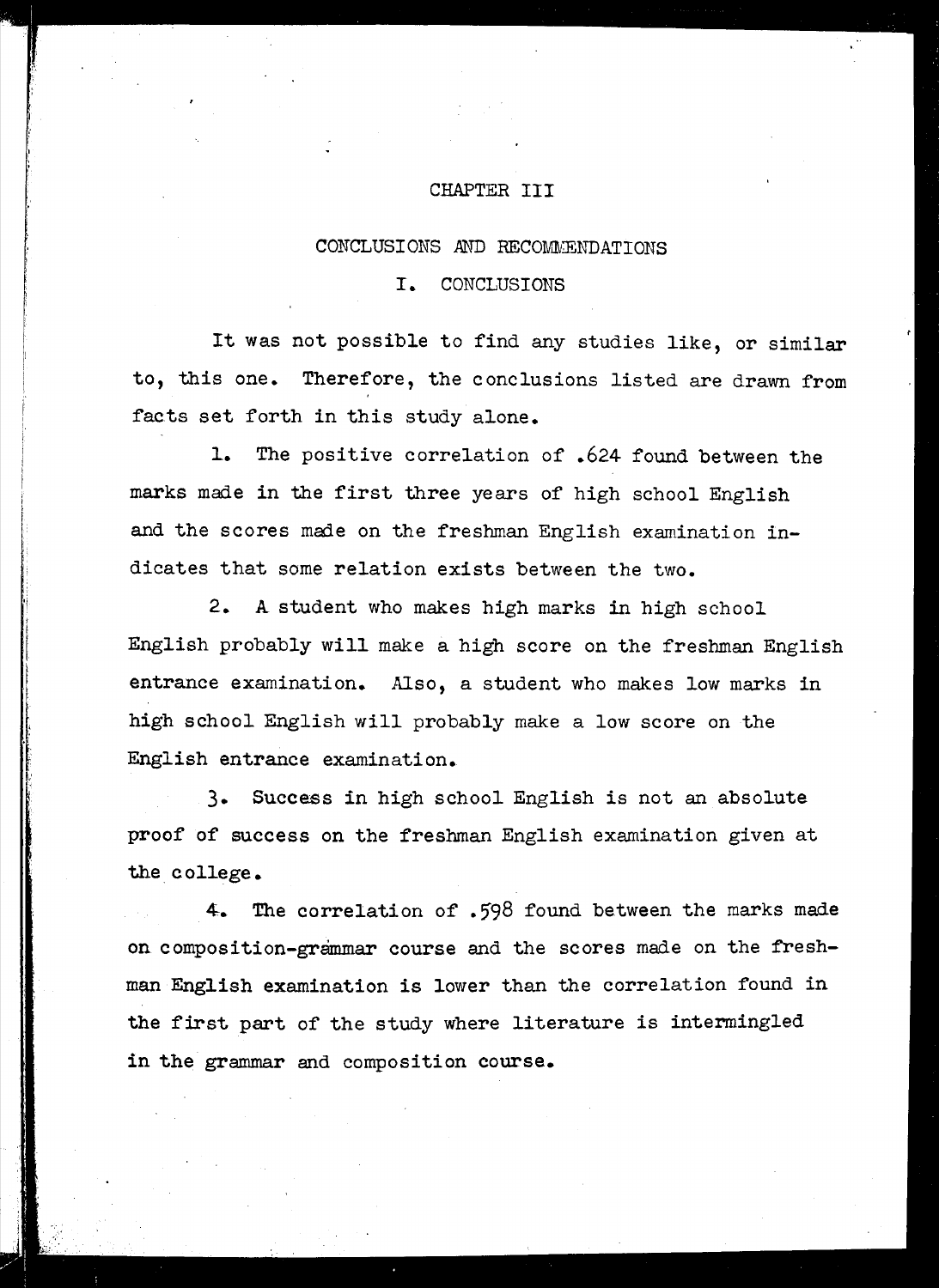#### CHAPTER III

#### CONCLUSIONS .AND RECOMMENDATIONS

#### I. CONCLUSIONS

It was not possible to find any studies like, or similar to, this one. Therefore, the conclusions listed are drawn from facts set forth in this study alone.

1. The positive correlation of .624 found between the marks made in the first three years of high school English and the scores made on the freshman English examination indicates that some relation exists between the two.

2. A student who makes high marks in high school English probably will make a high score on the freshman English entrance examination. Also, a student who makes low marks in high school English will probably make a low score on the English entrance examination.

3. Success in high school English is not an absolute proof of success on the freshman English examination given at the college.

4-. The correlation of .598 found between the marks made on composition-grammar course and the scores made on the freshman English examination is lower than the correlation found in the first part of the study where literature is intermingled in the grammar and composition course.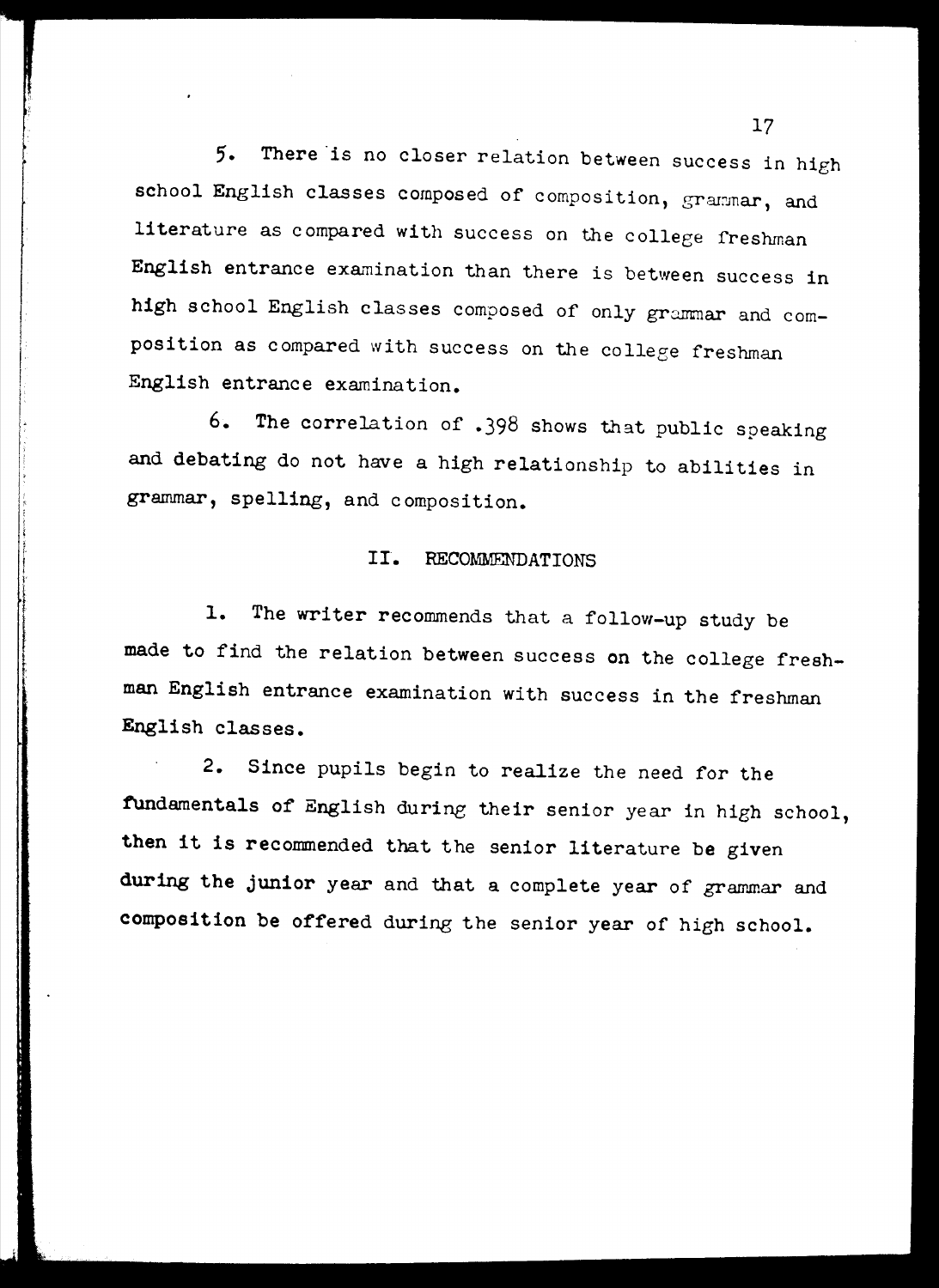5. There is no closer relation between success in high school English classes composed of composition, grammar, and Iiterature as compared with success on the college freshman English entrance examination than there is between success in high school English classes composed of only grammar and composition as compared with success on the college freshman English entrance examination.

6. The correlation of .398 shows that public speaking and debating do not have a high relationship to abilities in grammar, spelling, and composition.

#### II. RECOMMENDATIONS

I

in a strong and the state of the state of the state of the state of the state of the state of the state of the<br>International contract of the state of the state of the state of the state of the state of the state of the st

1. The writer recommends that a follow-up study be made to find the relation between success on the college freshman English entrance examination with success in the freshman English classes.

2. Since pupils begin to realize the need for the fUndamentals of English during their senior year in high school, then it is recommended that the senior literature be given during the junior year and that a complete year of grammar and composition be offered during the senior year of high school.